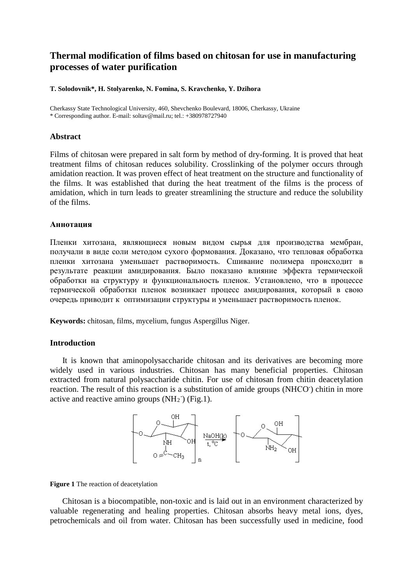# **Thermal modification of films based on chitosan for use in manufacturing processes of water purification**

#### **T. Solodovnik\*, H. Stolyarenko, N. Fomina, S. Kravchenko, Y. Dzіhora**

Cherkassy State Technological University, 460, Shevchenko Boulevard, 18006, Cherkassy, Ukraine \* Corresponding author. E-mail: soltav@mail.ru; tel.: +380978727940

# **Abstract**

Films of chitosan were prepared in salt form by method of dry-forming. It is proved that heat treatment films of chitosan reduces solubility. Crosslinking of the polymer occurs through amidation reaction. It was proven effect of heat treatment on the structure and functionality of the films. It was established that during the heat treatment of the films is the process of amidation, which in turn leads to greater streamlining the structure and reduce the solubility of the films.

#### **Аннотация**

Пленки хитозана, являющиеся новым видом сырья для производства мембран, получали в виде соли методом сухого формования. Доказано, что тепловая обработка пленки хитозана уменьшает растворимость. Сшивание полимера происходит в результате реакции амидирования. Было показано влияние эффекта термической обработки на структуру и функциональность пленок. Установлено, что в процессе термической обработки пленок возникает процесс амидирования, который в свою очередь приводит к оптимизации структуры и уменьшает растворимость пленок.

**Keywords:** chitosan, films, mycelium, fungus Aspergillus Niger.

# **Introduction**

It is known that aminopolysaccharide chitosan and its derivatives are becoming more widely used in various industries. Chitosan has many beneficial properties. Chitosan extracted from natural polysaccharide chitin. For use of chitosan from chitin deacetylation reaction. The result of this reaction is a substitution of amide groups (NHCO<sup>-</sup>) chitin in more active and reactive amino groups  $(NH_2^-)$  (Fig.1).



### **Figure 1** The reaction of deacetylation

Chitosan is a biocompatible, non-toxic and is laid out in an environment characterized by valuable regenerating and healing properties. Chitosan absorbs heavy metal ions, dyes, petrochemicals and oil from water. Chitosan has been successfully used in medicine, food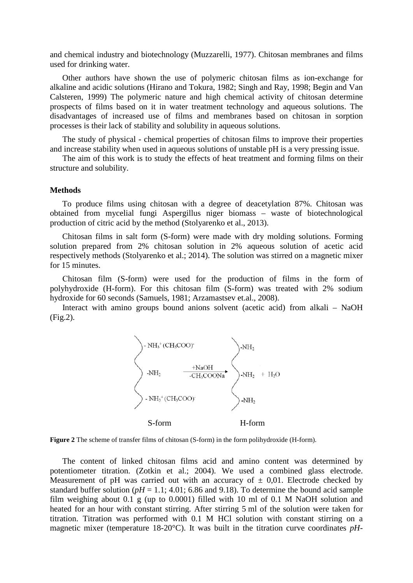and chemical industry and biotechnology (Muzzarelli, 1977). Chitosan membranes and films used for drinking water.

Other authors have shown the use of polymeric chitosan films as ion-exchange for alkaline and acidic solutions (Hirano and Tokura, 1982; Singh and Ray, 1998; Begin and Van Calsteren, 1999) The polymeric nature and high chemical activity of chitosan determine prospects of films based on it in water treatment technology and aqueous solutions. The disadvantages of increased use of films and membranes based on chitosan in sorption processes is their lack of stability and solubility in aqueous solutions.

The study of physical - chemical properties of chitosan films to improve their properties and increase stability when used in aqueous solutions of unstable pH is a very pressing issue.

The aim of this work is to study the effects of heat treatment and forming films on their structure and solubility.

#### **Methods**

To produce films using chitosan with a degree of deacetylation 87%. Chitosan was obtained from mycelial fungi Aspergillus niger biomass – waste of biotechnological production of citric acid by the method (Stolyarenko et al., 2013).

Chitosan films in salt form (S-form) were made with dry molding solutions. Forming solution prepared from 2% chitosan solution in 2% aqueous solution of acetic acid respectively methods (Stolyarenko et al.; 2014). The solution was stirred on a magnetic mixer for 15 minutes.

Сhitosan film (S-form) were used for the production of films in the form of polyhydroxide (H-form). For this chitosan film (S-form) was treated with 2% sodium hydroxide for 60 seconds (Samuels, 1981; Arzamastsev et.al., 2008).

Interact with amino groups bound anions solvent (acetic acid) from alkali – NaOH (Fig.2).



**Figure 2** The scheme of transfer films of chitosan (S-form) in the form polihydroxide (H-form).

The content of linked chitosan films acid and amino content was determined by potentiometer titration. (Zotkin et al.; 2004). We used a combined glass electrode. Measurement of pH was carried out with an accuracy of  $\pm$  0,01. Electrode checked by standard buffer solution ( $pH = 1.1$ ; 4.01; 6.86 and 9.18). To determine the bound acid sample film weighing about 0.1 g (up to 0.0001) filled with 10 ml of 0.1 M NaOH solution and heated for an hour with constant stirring. After stirring 5 ml of the solution were taken for titration. Titration was performed with 0.1 M HCl solution with constant stirring on a magnetic mixer (temperature 18-20°C). It was built in the titration curve coordinates *pH*-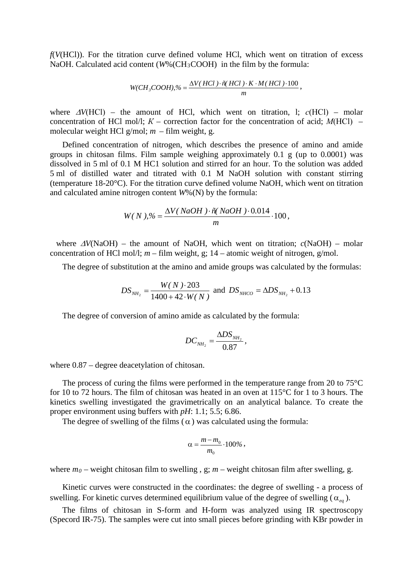*f*(*V*(HCl)). For the titration curve defined volume HCl, which went on titration of excess NaOH. Calculated acid content (*W*%(CH<sub>3</sub>COOH) in the film by the formula:

$$
W(CH_3COOH), \% = \frac{\Delta V(HCl) \cdot \tilde{n}(HCl) \cdot K \cdot M(HCl) \cdot 100}{m},
$$

where <sup>∆</sup>*V*(НСl) – the amount of HCl, which went on titration, l; *с*(НСl) – molar concentration of HCl mol/l;  $K$  – correction factor for the concentration of acid;  $M(HCl)$  – molecular weight HCl g/mol; *m* – film weight, g.

Defined concentration of nitrogen, which describes the presence of amino and amide groups in chitosan films. Film sample weighing approximately 0.1 g (up to 0.0001) was dissolved in 5 ml of 0.1 M HC1 solution and stirred for an hour. To the solution was added 5 ml of distilled water and titrated with 0.1 M NaOH solution with constant stirring (temperature 18-20°C). For the titration curve defined volume NaOH, which went on titration and calculated amine nitrogen content *W*%(N) by the formula:

$$
W(N),\% = \frac{\Delta V(NaOH)\cdot \tilde{n}(NaOH)\cdot 0.014}{m}\cdot 100,
$$

where <sup>∆</sup>*V*(NaOH) – the amount of NaOH, which went on titration; *c*(NaOH) – molar concentration of HCl mol/l;  $m -$  film weight, g; 14 – atomic weight of nitrogen, g/mol.

The degree of substitution at the amino and amide groups was calculated by the formulas:

$$
DS_{NH_2}
$$
 =  $\frac{W(N) \cdot 203}{1400 + 42 \cdot W(N)}$  and  $DS_{NHCO}$  =  $\Delta DS_{NH_2}$  + 0.13

The degree of conversion of amino amide as calculated by the formula:

$$
DC_{NH_2} = \frac{\Delta DS_{NH_2}}{0.87},
$$

where 0.87 – degree deacetylation of chitosan.

The process of curing the films were performed in the temperature range from 20 to 75°C for 10 to 72 hours. The film of chitosan was heated in an oven at 115°C for 1 to 3 hours. The kinetics swelling investigated the gravimetrically on an analytical balance. To create the proper environment using buffers with *pH*: 1.1; 5.5; 6.86.

The degree of swelling of the films  $(\alpha)$  was calculated using the formula:

$$
\alpha = \frac{m - m_0}{m_0} \cdot 100\%,
$$

where  $m_0$  – weight chitosan film to swelling, g;  $m$  – weight chitosan film after swelling, g.

Kinetic curves were constructed in the coordinates: the degree of swelling - a process of swelling. For kinetic curves determined equilibrium value of the degree of swelling ( $\alpha_{ee}$ ).

The films of chitosan in S-form and H-form was analyzed using IR spectroscopy (Specord IR-75). The samples were cut into small pieces before grinding with KBr powder in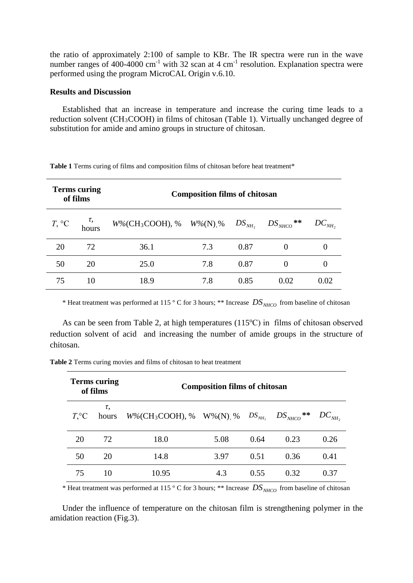the ratio of approximately 2:100 of sample to KBr. The IR spectra were run in the wave number ranges of 400-4000 cm<sup>-1</sup> with 32 scan at 4 cm<sup>-1</sup> resolution. Explanation spectra were performed using the program MicroCAL Origin v.6.10.

# **Results and Discussion**

Established that an increase in temperature and increase the curing time leads to a reduction solvent (CH3COOH) in films of chitosan (Table 1). Virtually unchanged degree of substitution for amide and amino groups in structure of chitosan.

| <b>Terms curing</b><br>of films |       | <b>Composition films of chitosan</b>         |     |             |                       |             |  |
|---------------------------------|-------|----------------------------------------------|-----|-------------|-----------------------|-------------|--|
| $T, \,^{\circ}C$                | hours | $W\%$ (CH <sub>3</sub> COOH), % $W\%$ (N), % |     | $DS_{NH_2}$ | $DS_{\text{NHCO}}$ ** | $DC_{NH_2}$ |  |
| 20                              | 72    | 36.1                                         | 7.3 | 0.87        | $\Omega$              |             |  |
| 50                              | 20    | 25.0                                         | 7.8 | 0.87        | $\Omega$              | 0           |  |
| 75                              | 10    | 18.9                                         | 7.8 | 0.85        | 0.02                  | 0.02        |  |

**Table 1** Terms curing of films and composition films of chitosan before heat treatment\*

\* Heat treatment was performed at 115  $\degree$  C for 3 hours; \*\* Increase  $DS_{NHCO}$  from baseline of chitosan

As can be seen from Table 2, at high temperatures (115°C) in films of chitosan observed reduction solvent of acid and increasing the number of amide groups in the structure of chitosan.

| <b>Terms curing</b><br>of films |             | <b>Composition films of chitosan</b> |             |             |                |             |  |
|---------------------------------|-------------|--------------------------------------|-------------|-------------|----------------|-------------|--|
| $T$ <sup>o</sup> C              | τ,<br>hours | $W\%$ (CH <sub>3</sub> COOH), %      | $W\% (N)$ % | $DS_{NH_2}$ | $DS_{NHCO}$ ** | $DC_{NH_2}$ |  |
| 20                              | 72          | 18.0                                 | 5.08        | 0.64        | 0.23           | 0.26        |  |
| 50                              | 20          | 14.8                                 | 3.97        | 0.51        | 0.36           | 0.41        |  |
| 75                              | 10          | 10.95                                | 4.3         | 0.55        | 0.32           | 0.37        |  |

**Table 2** Terms curing movies and films of chitosan to heat treatment

\* Heat treatment was performed at 115 ° C for 3 hours; \*\* Increase  $DS<sub>NHCO</sub>$  from baseline of chitosan

Under the influence of temperature on the chitosan film is strengthening polymer in the amidation reaction (Fig.3).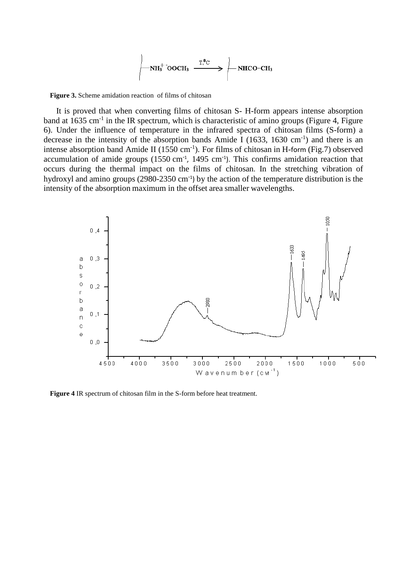$$
\left\|\text{NH}_3^+\text{OOCH}_3\xrightarrow{T,^0C}\right\|\text{NHCO-CH}_3
$$

**Figure 3.** Scheme amidation reaction of films of chitosan

It is proved that when converting films of chitosan S- H-form appears intense absorption band at  $1635 \text{ cm}^{-1}$  in the IR spectrum, which is characteristic of amino groups (Figure 4, Figure 6). Under the influence of temperature in the infrared spectra of chitosan films (S-form) a decrease in the intensity of the absorption bands Amide I  $(1633, 1630 \text{ cm}^{-1})$  and there is an intense absorption band Amide II (1550 cm<sup>-1</sup>). For films of chitosan in H-form (Fig.7) observed accumulation of amide groups  $(1550 \text{ cm}^{-1}, 1495 \text{ cm}^{-1})$ . This confirms amidation reaction that occurs during the thermal impact on the films of chitosan. In the stretching vibration of hydroxyl and amino groups (2980-2350 cm<sup>-1</sup>) by the action of the temperature distribution is the intensity of the absorption maximum in the offset area smaller wavelengths.



**Figure 4** IR spectrum of chitosan film in the S-form before heat treatment.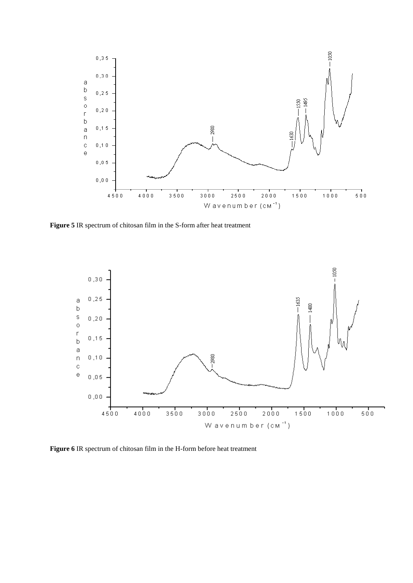

**Figure 5** IR spectrum of chitosan film in the S-form after heat treatment



**Figure 6** IR spectrum of chitosan film in the Н-form before heat treatment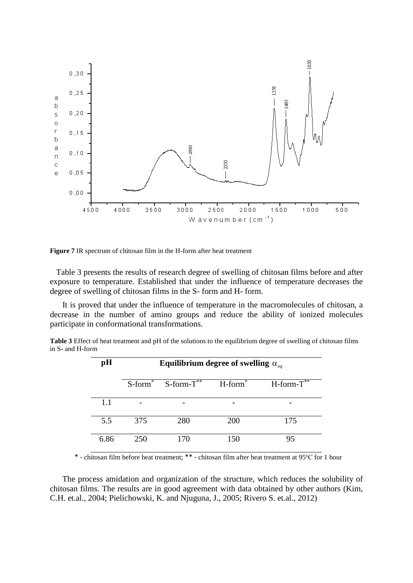

**Figure 7** IR spectrum of chitosan film in the Н-form after heat treatment

Table 3 presents the results of research degree of swelling of chitosan films before and after exposure to temperature. Established that under the influence of temperature decreases the degree of swelling of chitosan films in the S- form and H- form.

Іt is proved that under the influence of temperature in the macromolecules of chitosan, a decrease in the number of amino groups and reduce the ability of ionized molecules participate in conformational transformations.

**Table 3** Effect of heat treatment and pH of the solutions to the equilibrium degree of swelling of chitosan films in S- and Н-form

| pH   | Equilibrium degree of swelling $\alpha_{eq}$ |                     |               |                     |  |  |  |
|------|----------------------------------------------|---------------------|---------------|---------------------|--|--|--|
|      | $S-form^*$                                   | $S$ -form- $T^{**}$ | $H$ -form $*$ | $H$ -form- $T^{**}$ |  |  |  |
| 1.1  |                                              |                     |               |                     |  |  |  |
| 5.5  | 375                                          | 280                 | 200           | 175                 |  |  |  |
| 6.86 | 250                                          | 170                 | 150           | 95                  |  |  |  |

\* - chitosan film before heat treatment; \*\* - chitosan film after heat treatment at 95°C for 1 hour

The process amidation and organization of the structure, which reduces the solubility of chitosan films. The results are in good agreement with data obtained by other authors (Kim, C.H. et.al., 2004; Pielichowski, K. and Njuguna, J., 2005; Rivero S. et.al., 2012)